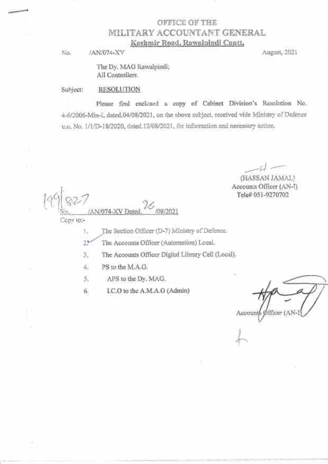## OFFICE OF THE *MILITARY ACCOUNTANT GENERAL* Kashmir Road, Rawalpindi Cantt,

No. JAN/074-XV August, 2021

The Dy. MAG Rawalpindi; All Controllers.

Subject: **RESOLUTION** 

Please find enclosed a copy of Cabinet Division's Resolution No. 4-6/2006-Min-I, dated.04/08/2021, on the above aubject, received vide Ministry of Defence u.o. No. 1/1/D-18/2020, dated 12/08/2021, for information and necessary action.

(HASSAN JAMAL) Accounts Officer (AN-I) Tele# 051-9270702

AN/074-XV Dated Copy to:-

The Section Officer (D-7) Ministry of Defence. Ŀ.

26 The Accounts Officer (Automation) Local.

з. The Accounts Officer Digital Library Cell (Local).

47 PS to the M.A.G.

APS to the Dy. MAG. 5.

I.C.O to the A.M.A.G (Admin) 6.

Accounts Office-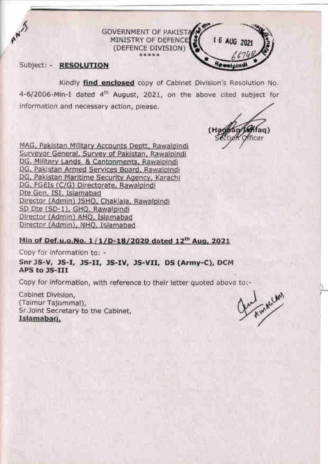**GOVERNMENT OF PAKISTA** MINISTRY OF DEFENCE (DEFENCE DIVISION)

Subject: - RESOLUTION

ANY

Kindly find enclosed copy of Cabinet Division's Resolution No. 4-6/2006-Min-1 dated 4<sup>th</sup> August, 2021, on the above cited subject for information and necessary action, please.

 $(H)$ ficer

I 6 AUG 2021

MAG, Pakistan Military Accounts Deptt, Rawalpindi Surveyor General, Survey of Pakistan, Rawalpindi DG, Military Lands & Cantonments, Rawalpindi DG, Pakistan Armed Services Board, Rawalpindi DG, Pakistan Maritime Security Agency, Karachi DG, FGEIs (C/G) Directorate, Rawalpindi Dte Gen, ISI, Islamabad Director (Admin) JSHQ, Chaklala, Rawalpindi SD Dte (SD-1), GHQ, Rawalpindi Director (Admin) AHQ, Islamabad Director (Admin), NHQ, Islamabad

### Min of Def.u.o.No. 1/1/D-18/2020 dated 12th Aug, 2021

Copy for information to: -

Snr JS-V, JS-I, JS-II, JS-IV, JS-VII, DS (Army-C), DCM APS to JS-III

Copy for information, with reference to their letter quoted above to:-

Cabinet Division, (Taimur Tajammal), Sr.Joint Secretary to the Cabinet. Islamabari.

Kin N.Can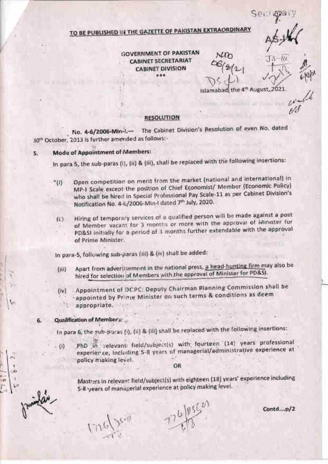# TO BE PUBLISHED IN THE GAZETTE OF PAKISTAN EXTRAORDINARY

**GOVERNMENT OF PAKISTAN CABINET SECRETARIAT CABINET DIVISION** ...

 $50.$ 

Islamabad, the 4th August, 2021.

### **RESOLUTION**

No. 4-6/2006-Min-L- The Cabinet Division's Resolution of even No. dated 30<sup>th</sup> October, 2013 is further amended as follows:-

#### **Mode of Appointment of Members:** 5.

In para 5, the sub-paras (i), (ii) & (iii), shall be replaced with the following insertions:

- Open competition on merit from the market (national and International) in "(ii) MP-I Scale except the position of Chief Economist/ Member (Economic Policy) who shall be hired in Special Professional Pay Scale-11 as per Cabinet Division's Notification No. 4-6/2006-Min-I dated 7th July, 2020.
	- Hiring of temporary services of a qualified person will be made against a post  $(E)$ of Member vacant for 3 months or more with the approval of Minister for PD&SI initially for a period of 1 months further extendable with the approval of Prime Minister.

in para-5, following sub-paras (iii) & (iv) shall be added:

- Apart from advertisement in the national press, a head-hunting firm may also be tiii) hired for selection of Members with the approval of Minister for PD&SI.
- Appointment of DCPC: Deputy Chairman Planning Commission shall be  $(w)$ appointed by Prime Minister on such terms & conditions as deem appropriate.

#### Qualification of Member :: 6.

In para 6, the sub-prices (i), (ii) & (iii) shall be replaced with the following insertions:

PhD in velevant field/subject(s) with fourteen (14) years professional  $-50$ experier ce, including 5-8 years of managerial/administrative experience at policy miaking level.

OR

Mast/ers in relevant field/subject(s) with eighteen (18) years' experience including 5-8 years of managerial experience at policy making level.

 $110$ 

 $Cantd...p/2$